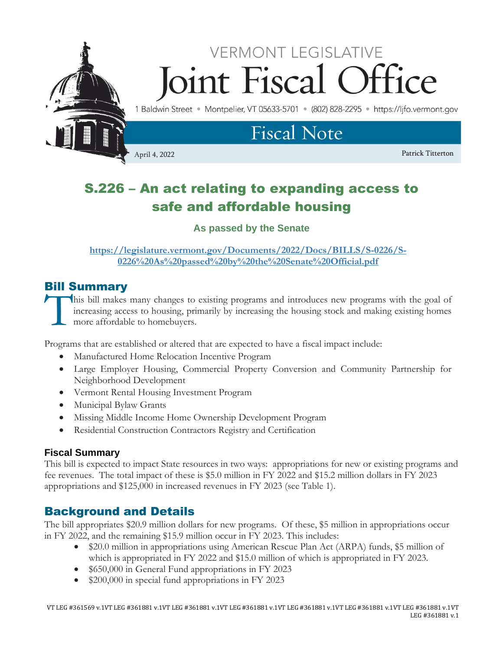

# S.226 – An act relating to expanding access to safe and affordable housing

**As passed by the Senate**

**[https://legislature.vermont.gov/Documents/2022/Docs/BILLS/S-0226/S-](https://legislature.vermont.gov/Documents/2022/Docs/BILLS/S-0226/S-0226%20As%20passed%20by%20the%20Senate%20Official.pdf)[0226%20As%20passed%20by%20the%20Senate%20Official.pdf](https://legislature.vermont.gov/Documents/2022/Docs/BILLS/S-0226/S-0226%20As%20passed%20by%20the%20Senate%20Official.pdf)**

# Bill Summary

his bill makes many changes to existing programs and introduces new programs with the goal of increasing access to housing, primarily by increasing the housing stock and making existing homes more affordable to homebuyers. T<br>T

Programs that are established or altered that are expected to have a fiscal impact include:

- Manufactured Home Relocation Incentive Program
- Large Employer Housing, Commercial Property Conversion and Community Partnership for Neighborhood Development
- Vermont Rental Housing Investment Program
- Municipal Bylaw Grants
- Missing Middle Income Home Ownership Development Program
- Residential Construction Contractors Registry and Certification

# **Fiscal Summary**

This bill is expected to impact State resources in two ways: appropriations for new or existing programs and fee revenues. The total impact of these is \$5.0 million in FY 2022 and \$15.2 million dollars in FY 2023 appropriations and \$125,000 in increased revenues in FY 2023 (see Table 1).

# Background and Details

The bill appropriates \$20.9 million dollars for new programs. Of these, \$5 million in appropriations occur in FY 2022, and the remaining \$15.9 million occur in FY 2023. This includes:

- \$20.0 million in appropriations using American Rescue Plan Act (ARPA) funds, \$5 million of which is appropriated in FY 2022 and \$15.0 million of which is appropriated in FY 2023.
- \$650,000 in General Fund appropriations in FY 2023
- \$200,000 in special fund appropriations in FY 2023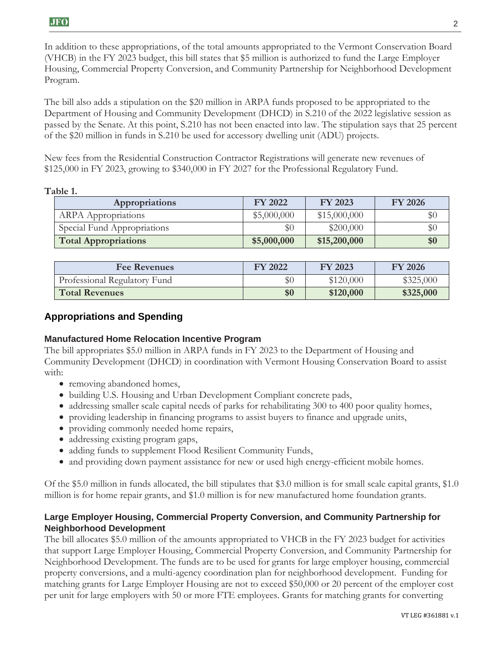In addition to these appropriations, of the total amounts appropriated to the Vermont Conservation Board (VHCB) in the FY 2023 budget, this bill states that \$5 million is authorized to fund the Large Employer Housing, Commercial Property Conversion, and Community Partnership for Neighborhood Development Program.

The bill also adds a stipulation on the \$20 million in ARPA funds proposed to be appropriated to the Department of Housing and Community Development (DHCD) in S.210 of the 2022 legislative session as passed by the Senate. At this point, S.210 has not been enacted into law. The stipulation says that 25 percent of the \$20 million in funds in S.210 be used for accessory dwelling unit (ADU) projects.

New fees from the Residential Construction Contractor Registrations will generate new revenues of \$125,000 in FY 2023, growing to \$340,000 in FY 2027 for the Professional Regulatory Fund.

#### **Table 1.**

| Appropriations              | <b>FY 2022</b> | FY 2023      | <b>FY 2026</b> |
|-----------------------------|----------------|--------------|----------------|
| <b>ARPA</b> Appropriations  | \$5,000,000    | \$15,000,000 | $\$0$          |
| Special Fund Appropriations | \$0            | \$200,000    | $\$0$          |
| <b>Total Appropriations</b> | \$5,000,000    | \$15,200,000 | \$0            |

| <b>Fee Revenues</b>          | FY 2022 | FY 2023   | <b>FY 2026</b> |
|------------------------------|---------|-----------|----------------|
| Professional Regulatory Fund | \$С     | \$120,000 | \$325,000      |
| <b>Total Revenues</b>        | \$0     | \$120,000 | \$325,000      |

## **Appropriations and Spending**

#### **Manufactured Home Relocation Incentive Program**

The bill appropriates \$5.0 million in ARPA funds in FY 2023 to the Department of Housing and Community Development (DHCD) in coordination with Vermont Housing Conservation Board to assist with:

- removing abandoned homes,
- building U.S. Housing and Urban Development Compliant concrete pads,
- addressing smaller scale capital needs of parks for rehabilitating 300 to 400 poor quality homes,
- providing leadership in financing programs to assist buyers to finance and upgrade units,
- providing commonly needed home repairs,
- addressing existing program gaps,
- adding funds to supplement Flood Resilient Community Funds,
- and providing down payment assistance for new or used high energy-efficient mobile homes.

Of the \$5.0 million in funds allocated, the bill stipulates that \$3.0 million is for small scale capital grants, \$1.0 million is for home repair grants, and \$1.0 million is for new manufactured home foundation grants.

## **Large Employer Housing, Commercial Property Conversion, and Community Partnership for Neighborhood Development**

The bill allocates \$5.0 million of the amounts appropriated to VHCB in the FY 2023 budget for activities that support Large Employer Housing, Commercial Property Conversion, and Community Partnership for Neighborhood Development. The funds are to be used for grants for large employer housing, commercial property conversions, and a multi-agency coordination plan for neighborhood development. Funding for matching grants for Large Employer Housing are not to exceed \$50,000 or 20 percent of the employer cost per unit for large employers with 50 or more FTE employees. Grants for matching grants for converting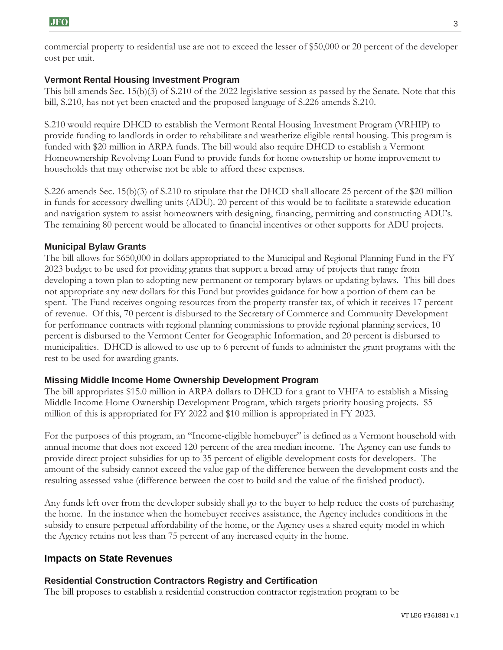commercial property to residential use are not to exceed the lesser of \$50,000 or 20 percent of the developer cost per unit.

## **Vermont Rental Housing Investment Program**

This bill amends Sec. 15(b)(3) of S.210 of the 2022 legislative session as passed by the Senate. Note that this bill, S.210, has not yet been enacted and the proposed language of S.226 amends S.210.

S.210 would require DHCD to establish the Vermont Rental Housing Investment Program (VRHIP) to provide funding to landlords in order to rehabilitate and weatherize eligible rental housing. This program is funded with \$20 million in ARPA funds. The bill would also require DHCD to establish a Vermont Homeownership Revolving Loan Fund to provide funds for home ownership or home improvement to households that may otherwise not be able to afford these expenses.

S.226 amends Sec. 15(b)(3) of S.210 to stipulate that the DHCD shall allocate 25 percent of the \$20 million in funds for accessory dwelling units (ADU). 20 percent of this would be to facilitate a statewide education and navigation system to assist homeowners with designing, financing, permitting and constructing ADU's. The remaining 80 percent would be allocated to financial incentives or other supports for ADU projects.

## **Municipal Bylaw Grants**

The bill allows for \$650,000 in dollars appropriated to the Municipal and Regional Planning Fund in the FY 2023 budget to be used for providing grants that support a broad array of projects that range from developing a town plan to adopting new permanent or temporary bylaws or updating bylaws. This bill does not appropriate any new dollars for this Fund but provides guidance for how a portion of them can be spent. The Fund receives ongoing resources from the property transfer tax, of which it receives 17 percent of revenue. Of this, 70 percent is disbursed to the Secretary of Commerce and Community Development for performance contracts with regional planning commissions to provide regional planning services, 10 percent is disbursed to the Vermont Center for Geographic Information, and 20 percent is disbursed to municipalities. DHCD is allowed to use up to 6 percent of funds to administer the grant programs with the rest to be used for awarding grants.

#### **Missing Middle Income Home Ownership Development Program**

The bill appropriates \$15.0 million in ARPA dollars to DHCD for a grant to VHFA to establish a Missing Middle Income Home Ownership Development Program, which targets priority housing projects. \$5 million of this is appropriated for FY 2022 and \$10 million is appropriated in FY 2023.

For the purposes of this program, an "Income-eligible homebuyer" is defined as a Vermont household with annual income that does not exceed 120 percent of the area median income. The Agency can use funds to provide direct project subsidies for up to 35 percent of eligible development costs for developers. The amount of the subsidy cannot exceed the value gap of the difference between the development costs and the resulting assessed value (difference between the cost to build and the value of the finished product).

Any funds left over from the developer subsidy shall go to the buyer to help reduce the costs of purchasing the home. In the instance when the homebuyer receives assistance, the Agency includes conditions in the subsidy to ensure perpetual affordability of the home, or the Agency uses a shared equity model in which the Agency retains not less than 75 percent of any increased equity in the home.

# **Impacts on State Revenues**

#### **Residential Construction Contractors Registry and Certification**

The bill proposes to establish a residential construction contractor registration program to be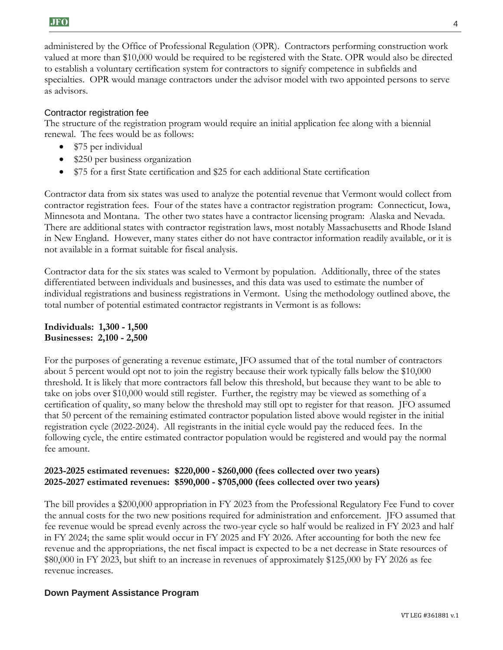administered by the Office of Professional Regulation (OPR). Contractors performing construction work valued at more than \$10,000 would be required to be registered with the State. OPR would also be directed to establish a voluntary certification system for contractors to signify competence in subfields and specialties. OPR would manage contractors under the advisor model with two appointed persons to serve as advisors.

#### Contractor registration fee

The structure of the registration program would require an initial application fee along with a biennial renewal. The fees would be as follows:

- \$75 per individual
- \$250 per business organization
- \$75 for a first State certification and \$25 for each additional State certification

Contractor data from six states was used to analyze the potential revenue that Vermont would collect from contractor registration fees. Four of the states have a contractor registration program: Connecticut, Iowa, Minnesota and Montana. The other two states have a contractor licensing program: Alaska and Nevada. There are additional states with contractor registration laws, most notably Massachusetts and Rhode Island in New England. However, many states either do not have contractor information readily available, or it is not available in a format suitable for fiscal analysis.

Contractor data for the six states was scaled to Vermont by population. Additionally, three of the states differentiated between individuals and businesses, and this data was used to estimate the number of individual registrations and business registrations in Vermont. Using the methodology outlined above, the total number of potential estimated contractor registrants in Vermont is as follows:

**Individuals: 1,300 - 1,500 Businesses: 2,100 - 2,500**

For the purposes of generating a revenue estimate, JFO assumed that of the total number of contractors about 5 percent would opt not to join the registry because their work typically falls below the \$10,000 threshold. It is likely that more contractors fall below this threshold, but because they want to be able to take on jobs over \$10,000 would still register. Further, the registry may be viewed as something of a certification of quality, so many below the threshold may still opt to register for that reason. JFO assumed that 50 percent of the remaining estimated contractor population listed above would register in the initial registration cycle (2022-2024). All registrants in the initial cycle would pay the reduced fees. In the following cycle, the entire estimated contractor population would be registered and would pay the normal fee amount.

#### **2023-2025 estimated revenues: \$220,000 - \$260,000 (fees collected over two years) 2025-2027 estimated revenues: \$590,000 - \$705,000 (fees collected over two years)**

The bill provides a \$200,000 appropriation in FY 2023 from the Professional Regulatory Fee Fund to cover the annual costs for the two new positions required for administration and enforcement. JFO assumed that fee revenue would be spread evenly across the two-year cycle so half would be realized in FY 2023 and half in FY 2024; the same split would occur in FY 2025 and FY 2026. After accounting for both the new fee revenue and the appropriations, the net fiscal impact is expected to be a net decrease in State resources of \$80,000 in FY 2023, but shift to an increase in revenues of approximately \$125,000 by FY 2026 as fee revenue increases.

#### **Down Payment Assistance Program**